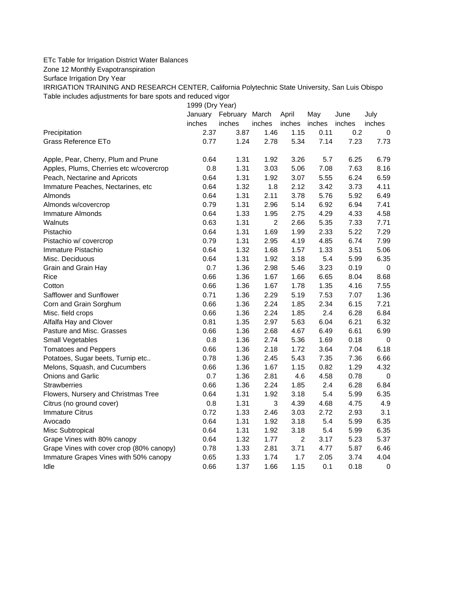## ETc Table for Irrigation District Water Balances

Zone 12 Monthly Evapotranspiration

Surface Irrigation Dry Year

IRRIGATION TRAINING AND RESEARCH CENTER, California Polytechnic State University, San Luis Obispo Table includes adjustments for bare spots and reduced vigor

1999 (Dry Year)

|                                          | January | February March |                | April          | May    | June   | July        |
|------------------------------------------|---------|----------------|----------------|----------------|--------|--------|-------------|
|                                          | inches  | inches         | inches         | inches         | inches | inches | inches      |
| Precipitation                            | 2.37    | 3.87           | 1.46           | 1.15           | 0.11   | 0.2    | 0           |
| <b>Grass Reference ETo</b>               | 0.77    | 1.24           | 2.78           | 5.34           | 7.14   | 7.23   | 7.73        |
| Apple, Pear, Cherry, Plum and Prune      | 0.64    | 1.31           | 1.92           | 3.26           | 5.7    | 6.25   | 6.79        |
| Apples, Plums, Cherries etc w/covercrop  | 0.8     | 1.31           | 3.03           | 5.06           | 7.08   | 7.63   | 8.16        |
| Peach, Nectarine and Apricots            | 0.64    | 1.31           | 1.92           | 3.07           | 5.55   | 6.24   | 6.59        |
| Immature Peaches, Nectarines, etc        | 0.64    | 1.32           | 1.8            | 2.12           | 3.42   | 3.73   | 4.11        |
| Almonds                                  | 0.64    | 1.31           | 2.11           | 3.78           | 5.76   | 5.92   | 6.49        |
| Almonds w/covercrop                      | 0.79    | 1.31           | 2.96           | 5.14           | 6.92   | 6.94   | 7.41        |
| <b>Immature Almonds</b>                  | 0.64    | 1.33           | 1.95           | 2.75           | 4.29   | 4.33   | 4.58        |
| Walnuts                                  | 0.63    | 1.31           | $\overline{c}$ | 2.66           | 5.35   | 7.33   | 7.71        |
| Pistachio                                | 0.64    | 1.31           | 1.69           | 1.99           | 2.33   | 5.22   | 7.29        |
| Pistachio w/ covercrop                   | 0.79    | 1.31           | 2.95           | 4.19           | 4.85   | 6.74   | 7.99        |
| Immature Pistachio                       | 0.64    | 1.32           | 1.68           | 1.57           | 1.33   | 3.51   | 5.06        |
| Misc. Deciduous                          | 0.64    | 1.31           | 1.92           | 3.18           | 5.4    | 5.99   | 6.35        |
| Grain and Grain Hay                      | 0.7     | 1.36           | 2.98           | 5.46           | 3.23   | 0.19   | $\mathbf 0$ |
| Rice                                     | 0.66    | 1.36           | 1.67           | 1.66           | 6.65   | 8.04   | 8.68        |
| Cotton                                   | 0.66    | 1.36           | 1.67           | 1.78           | 1.35   | 4.16   | 7.55        |
| Safflower and Sunflower                  | 0.71    | 1.36           | 2.29           | 5.19           | 7.53   | 7.07   | 1.36        |
| Corn and Grain Sorghum                   | 0.66    | 1.36           | 2.24           | 1.85           | 2.34   | 6.15   | 7.21        |
| Misc. field crops                        | 0.66    | 1.36           | 2.24           | 1.85           | 2.4    | 6.28   | 6.84        |
| Alfalfa Hay and Clover                   | 0.81    | 1.35           | 2.97           | 5.63           | 6.04   | 6.21   | 6.32        |
| Pasture and Misc. Grasses                | 0.66    | 1.36           | 2.68           | 4.67           | 6.49   | 6.61   | 6.99        |
| Small Vegetables                         | 0.8     | 1.36           | 2.74           | 5.36           | 1.69   | 0.18   | $\mathbf 0$ |
| <b>Tomatoes and Peppers</b>              | 0.66    | 1.36           | 2.18           | 1.72           | 3.64   | 7.04   | 6.18        |
| Potatoes, Sugar beets, Turnip etc        | 0.78    | 1.36           | 2.45           | 5.43           | 7.35   | 7.36   | 6.66        |
| Melons, Squash, and Cucumbers            | 0.66    | 1.36           | 1.67           | 1.15           | 0.82   | 1.29   | 4.32        |
| Onions and Garlic                        | 0.7     | 1.36           | 2.81           | 4.6            | 4.58   | 0.78   | 0           |
| <b>Strawberries</b>                      | 0.66    | 1.36           | 2.24           | 1.85           | 2.4    | 6.28   | 6.84        |
| Flowers, Nursery and Christmas Tree      | 0.64    | 1.31           | 1.92           | 3.18           | 5.4    | 5.99   | 6.35        |
| Citrus (no ground cover)                 | 0.8     | 1.31           | 3              | 4.39           | 4.68   | 4.75   | 4.9         |
| <b>Immature Citrus</b>                   | 0.72    | 1.33           | 2.46           | 3.03           | 2.72   | 2.93   | 3.1         |
| Avocado                                  | 0.64    | 1.31           | 1.92           | 3.18           | 5.4    | 5.99   | 6.35        |
| Misc Subtropical                         | 0.64    | 1.31           | 1.92           | 3.18           | 5.4    | 5.99   | 6.35        |
| Grape Vines with 80% canopy              | 0.64    | 1.32           | 1.77           | $\overline{c}$ | 3.17   | 5.23   | 5.37        |
| Grape Vines with cover crop (80% canopy) | 0.78    | 1.33           | 2.81           | 3.71           | 4.77   | 5.87   | 6.46        |
| Immature Grapes Vines with 50% canopy    | 0.65    | 1.33           | 1.74           | 1.7            | 2.05   | 3.74   | 4.04        |
| Idle                                     | 0.66    | 1.37           | 1.66           | 1.15           | 0.1    | 0.18   | $\mathbf 0$ |